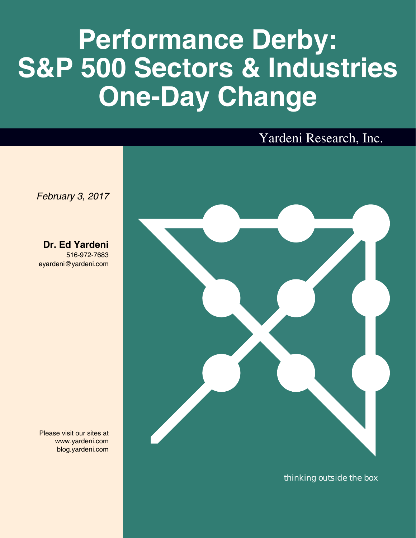## **Performance Derby: S&P 500 Sectors & Industries One-Day Change**



*thinking outside the box*

*February 3, 2017*

**Dr. Ed Yardeni** 516-972-7683 eyardeni@yardeni.com

Please visit our sites at www.yardeni.com blog.yardeni.com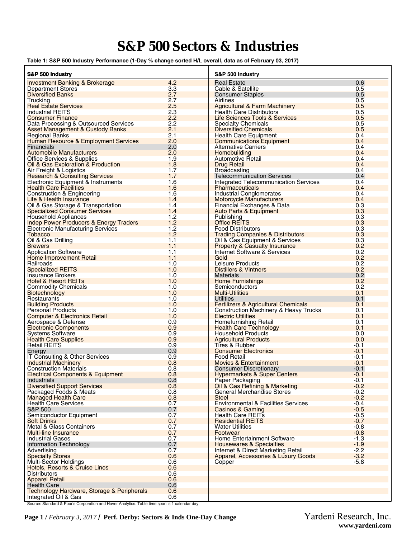## **S&P 500 Sectors & Industries**

**Table 1: S&P 500 Industry Performance (1-Day % change sorted H/L overall, data as of February 03, 2017)**

| S&P 500 Industry                                                    |            | S&P 500 Industry                                                              |                  |
|---------------------------------------------------------------------|------------|-------------------------------------------------------------------------------|------------------|
| <b>Investment Banking &amp; Brokerage</b>                           | 4.2        | <b>Real Estate</b>                                                            | 0.6              |
| <b>Department Stores</b>                                            | 3.3        | Cable & Satellite                                                             | 0.5              |
| <b>Diversified Banks</b>                                            | 2.7        | <b>Consumer Staples</b>                                                       | 0.5              |
| Trucking                                                            | 2.7        | Airlines                                                                      | 0.5              |
| <b>Real Estate Services</b>                                         | 2.5        | <b>Agricultural &amp; Farm Machinery</b>                                      | 0.5              |
| <b>Industrial REITS</b>                                             | 2.3        | <b>Health Care Distributors</b>                                               | 0.5              |
| <b>Consumer Finance</b>                                             | 2.2        | <b>Life Sciences Tools &amp; Services</b>                                     | 0.5              |
| Data Processing & Outsourced Services                               | 2.2        | <b>Specialty Chemicals</b>                                                    | 0.5              |
| Asset Management & Custody Banks                                    | 2.1        | <b>Diversified Chemicals</b>                                                  | 0.5              |
| <b>Regional Banks</b>                                               | 2.1        | <b>Health Care Equipment</b>                                                  | 0.4              |
| Human Resource & Employment Services                                | 2.0        | <b>Communications Equipment</b>                                               | 0.4              |
| Financials                                                          | 2.0        | <b>Alternative Carriers</b>                                                   | 0.4              |
| <b>Automobile Manufacturers</b>                                     | 2.0        | Homebuilding                                                                  | 0.4              |
| Office Services & Supplies                                          | 1.9        | Automotive Retail                                                             | 0.4              |
| Oil & Gas Exploration & Production                                  | 1.8        | <b>Drug Retail</b>                                                            | 0.4              |
| Air Freight & Logistics                                             | 1.7        | <b>Broadcasting</b>                                                           | 0.4              |
| <b>Research &amp; Consulting Services</b>                           | 1.7<br>1.6 | <b>Telecommunication Services</b>                                             | 0.4              |
| Electronic Equipment & Instruments<br><b>Health Care Facilities</b> | 1.6        | <b>Integrated Telecommunication Services</b><br><b>Pharmaceuticals</b>        | 0.4<br>0.4       |
| <b>Construction &amp; Engineering</b>                               | 1.6        | <b>Industrial Conglomerates</b>                                               | 0.4              |
| Life & Health Insurance                                             | 1.4        | Motorcycle Manufacturers                                                      | 0.4              |
| Oil & Gas Storage & Transportation                                  | 1.4        | Financial Exchanges & Data                                                    | 0.3              |
| <b>Specialized Consumer Services</b>                                | 1.4        | <b>Auto Parts &amp; Equipment</b>                                             | 0.3              |
| <b>Household Appliances</b>                                         | 1.2        | Publishing                                                                    | 0.3              |
| <b>Indep Power Producers &amp; Energy Traders</b>                   | 1.2        | Office REITS                                                                  | 0.3              |
| <b>Electronic Manufacturing Services</b>                            | 1.2        | <b>Food Distributors</b>                                                      | 0.3              |
| <b>Tobacco</b>                                                      | 1.2        | <b>Trading Companies &amp; Distributors</b>                                   | 0.3              |
| Oil & Gas Drilling                                                  | 1.1        | Oil & Gas Equipment & Services                                                | 0.3              |
| <b>Brewers</b>                                                      | 1.1        | <b>Property &amp; Casualty Insurance</b>                                      | 0.2              |
| <b>Application Software</b>                                         | 1.1        | Internet Software & Services                                                  | 0.2              |
| Home Improvement Retail                                             | 1.1        | Gold                                                                          | 0.2              |
| Railroads                                                           | 1.0        | Leisure Products                                                              | 0.2              |
| <b>Specialized REITS</b>                                            | 1.0        | Distillers & Vintners                                                         | 0.2              |
| Insurance Brokers                                                   | 1.0        | Materials                                                                     | 0.2              |
| <b>Hotel &amp; Resort REITs</b>                                     | 1.0        | <b>Home Furnishings</b>                                                       | 0.2              |
| <b>Commodity Chemicals</b>                                          | 1.0        | Semiconductors                                                                | 0.2              |
| <b>Biotechnology</b>                                                | 1.0        | <b>Multi-Utilities</b>                                                        | 0.1              |
| <b>Restaurants</b>                                                  | 1.0        | <b>Utilities</b>                                                              | 0.1              |
| <b>Building Products</b>                                            | 1.0        | <b>Fertilizers &amp; Agricultural Chemicals</b>                               | 0.1              |
| <b>Personal Products</b>                                            | 1.0<br>1.0 | <b>Construction Machinery &amp; Heavy Trucks</b><br><b>Electric Utilities</b> | 0.1<br>0.1       |
| <b>Computer &amp; Electronics Retail</b>                            | 0.9        | Homefurnishing Retail                                                         | 0.1              |
| Aerospace & Defense<br><b>Electronic Components</b>                 | 0.9        | <b>Health Care Technology</b>                                                 | 0.1              |
| <b>Systems Software</b>                                             | 0.9        | Household Products                                                            | 0.0              |
| <b>Health Care Supplies</b>                                         | 0.9        | <b>Agricultural Products</b>                                                  | 0.0              |
| <b>Retail REITS</b>                                                 | 0.9        | Tires & Rubber                                                                | $-0.1$           |
| Energy                                                              | 0.9        | <b>Consumer Electronics</b>                                                   | $-0.1$           |
| IT Consulting & Other Services                                      | 0.9        | <b>Food Retail</b>                                                            | $-0.1$           |
| <b>Industrial Machinery</b>                                         | 0.8        | <b>Movies &amp; Entertainment</b>                                             | $-0.1$           |
| <b>Construction Materials</b>                                       | 0.8        | <b>Consumer Discretionary</b>                                                 | $-0.1$           |
| <b>Electrical Components &amp; Equipment</b>                        | 0.8        | <b>Hypermarkets &amp; Super Centers</b>                                       | $-0.1$           |
| Industrials                                                         | 0.8        | Paper Packaging                                                               | $-0.1$           |
| <b>Diversified Support Services</b>                                 | 0.8        | Oil & Gas Refining & Marketing                                                | $-0.2$           |
| Packaged Foods & Meats                                              | 0.8        | <b>General Merchandise Stores</b>                                             | $-0.2$           |
| <b>Managed Health Care</b>                                          | 0.8        | <b>Steel</b>                                                                  | $-0.2$           |
| <b>Health Care Services</b>                                         | 0.7        | <b>Environmental &amp; Facilities Services</b>                                | $-0.4$           |
| S&P 500                                                             | 0.7        | Casinos & Gaming                                                              | $-0.5$           |
| Semiconductor Equipment                                             | 0.7        | <b>Health Care REITs</b>                                                      | $-0.5$<br>$-0.7$ |
| <b>Soft Drinks</b><br><b>Metal &amp; Glass Containers</b>           | 0.7<br>0.7 | <b>Residential REITS</b>                                                      | $-0.8$           |
|                                                                     | 0.7        | <b>Water Utilities</b><br>Footwear                                            | $-0.8$           |
| Multi-line Insurance<br><b>Industrial Gases</b>                     | 0.7        | Home Entertainment Software                                                   | $-1.3$           |
| Information Technology                                              | 0.7        | <b>Housewares &amp; Specialties</b>                                           | $-1.9$           |
| Advertising                                                         | 0.7        | Internet & Direct Marketing Retail                                            | $-2.2$           |
| <b>Specialty Stores</b>                                             | 0.6        | Apparel, Accessories & Luxury Goods                                           | $-3.2$           |
| Multi-Sector Holdings                                               | 0.6        | Copper                                                                        | $-5.8$           |
| Hotels, Resorts & Cruise Lines                                      | 0.6        |                                                                               |                  |
| <b>Distributors</b>                                                 | 0.6        |                                                                               |                  |
| <b>Apparel Retail</b>                                               | 0.6        |                                                                               |                  |
| <b>Health Care</b>                                                  | 0.6        |                                                                               |                  |
| Technology Hardware, Storage & Peripherals                          | 0.6        |                                                                               |                  |
| Integrated Oil & Gas                                                | 0.6        |                                                                               |                  |

Source: Standard & Poor's Corporation and Haver Analytics. Table time span is 1 calendar day.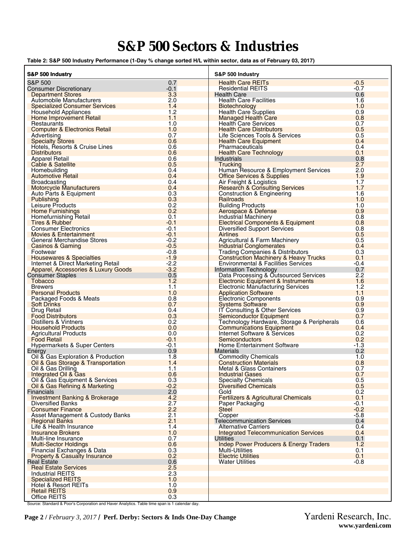## **S&P 500 Sectors & Industries**

**Table 2: S&P 500 Industry Performance (1-Day % change sorted H/L within sector, data as of February 03, 2017)**

| S&P 500 Industry                                    |               | S&P 500 Industry                                                 |            |
|-----------------------------------------------------|---------------|------------------------------------------------------------------|------------|
| S&P 500                                             | 0.7           | <b>Health Care REITs</b>                                         | $-0.5$     |
| <b>Consumer Discretionary</b>                       | $-0.1$        | <b>Residential REITS</b>                                         | $-0.7$     |
| <b>Department Stores</b>                            | 3.3           | <b>Health Care</b>                                               | 0.6        |
| Automobile Manufacturers                            | 2.0           | <b>Health Care Facilities</b>                                    | 1.6        |
| <b>Specialized Consumer Services</b>                | 1.4           | Biotechnology                                                    | 1.0        |
| <b>Household Appliances</b>                         | 1.2           | <b>Health Care Supplies</b>                                      | 0.9        |
| Home Improvement Retail                             | 1.1           | <b>Managed Health Care</b>                                       | 0.8        |
| Restaurants                                         | 1.0           | <b>Health Care Services</b>                                      | 0.7        |
| <b>Computer &amp; Electronics Retail</b>            | 1.0           | <b>Health Care Distributors</b>                                  | 0.5        |
| Advertising                                         | 0.7           | Life Sciences Tools & Services                                   | 0.5        |
| <b>Specialty Stores</b>                             | 0.6           | <b>Health Care Equipment</b>                                     | 0.4        |
| Hotels, Resorts & Cruise Lines                      | 0.6           | Pharmaceuticals                                                  | 0.4        |
| <b>Distributors</b>                                 | 0.6           | <b>Health Care Technology</b>                                    | 0.1        |
| <b>Apparel Retail</b>                               | 0.6           | Industrials                                                      | 0.8        |
| Cable & Satellite                                   | 0.5           | <b>Trucking</b>                                                  | 2.7        |
| Homebuilding                                        | 0.4<br>0.4    | Human Resource & Employment Services                             | 2.0        |
| <b>Automotive Retail</b><br><b>Broadcasting</b>     | 0.4           | <b>Office Services &amp; Supplies</b><br>Air Freight & Logistics | 1.9<br>1.7 |
| <b>Motorcycle Manufacturers</b>                     | 0.4           | <b>Research &amp; Consulting Services</b>                        | 1.7        |
| Auto Parts & Equipment                              | 0.3           | <b>Construction &amp; Engineering</b>                            | 1.6        |
| Publishing                                          | 0.3           | Railroads                                                        | 1.0        |
| Leisure Products                                    | 0.2           | <b>Building Products</b>                                         | 1.0        |
| <b>Home Furnishings</b>                             | 0.2           | Aerospace & Defense                                              | 0.9        |
| Homefurnishing Retail                               | 0.1           | <b>Industrial Machinery</b>                                      | 0.8        |
| <b>Tires &amp; Rubber</b>                           | $-0.1$        | <b>Electrical Components &amp; Equipment</b>                     | 0.8        |
| <b>Consumer Electronics</b>                         | $-0.1$        | <b>Diversified Support Services</b>                              | 0.8        |
| <b>Movies &amp; Entertainment</b>                   | $-0.1$        | <b>Airlines</b>                                                  | 0.5        |
| <b>General Merchandise Stores</b>                   | $-0.2$        | <b>Agricultural &amp; Farm Machinery</b>                         | 0.5        |
| <b>Casinos &amp; Gaming</b>                         | $-0.5$        | <b>Industrial Conglomerates</b>                                  | 0.4        |
| Footwear                                            | $-0.8$        | <b>Trading Companies &amp; Distributors</b>                      | 0.3        |
| <b>Housewares &amp; Specialties</b>                 | $-1.9$        | <b>Construction Machinery &amp; Heavy Trucks</b>                 | 0.1        |
| Internet & Direct Marketing Retail                  | $-2.2$        | <b>Environmental &amp; Facilities Services</b>                   | $-0.4$     |
| Apparel, Accessories & Luxury Goods                 | $-3.2$        | Information Technology                                           | 0.7        |
| <b>Consumer Staples</b>                             | 0.5           | Data Processing & Outsourced Services                            | 2.2        |
| <b>Tobacco</b>                                      | 1.2           | <b>Electronic Equipment &amp; Instruments</b>                    | 1.6<br>1.2 |
| <b>Brewers</b><br><b>Personal Products</b>          | 1.1<br>1.0    | <b>Electronic Manufacturing Services</b>                         | 1.1        |
| Packaged Foods & Meats                              | 0.8           | <b>Application Software</b><br><b>Electronic Components</b>      | 0.9        |
| <b>Soft Drinks</b>                                  | 0.7           | <b>Systems Software</b>                                          | 0.9        |
| <b>Drug Retail</b>                                  | 0.4           | IT Consulting & Other Services                                   | 0.9        |
| <b>Food Distributors</b>                            | 0.3           | <b>Semiconductor Equipment</b>                                   | 0.7        |
| <b>Distillers &amp; Vintners</b>                    | 0.2           | Technology Hardware, Storage & Peripherals                       | 0.6        |
| <b>Household Products</b>                           | 0.0           | <b>Communications Equipment</b>                                  | 0.4        |
| <b>Agricultural Products</b>                        | 0.0           | Internet Software & Services                                     | 0.2        |
| <b>Food Retail</b>                                  | $-0.1$        | Semiconductors                                                   | 0.2        |
| <b>Hypermarkets &amp; Super Centers</b>             | -0.1          | Home Entertainment Software                                      | $-1.3$     |
| Energy                                              | 0.9           | <b>Materials</b>                                                 | 0.2        |
| Oil & Gas Exploration & Production                  | 1.8           | <b>Commodity Chemicals</b>                                       | 1.0        |
| Oil & Gas Storage & Transportation                  | 1.4           | <b>Construction Materials</b>                                    | 0.8        |
| Oil & Gas Drilling                                  | 1.1           | Metal & Glass Containers                                         | 0.7        |
| Integrated Oil & Gas                                | 0.6           | <b>Industrial Gases</b>                                          | 0.7        |
| Oil & Gas Equipment & Services                      | 0.3<br>$-0.2$ | <b>Specialty Chemicals</b><br><b>Diversified Chemicals</b>       | 0.5<br>0.5 |
| Oil & Gas Refining & Marketing<br><b>Financials</b> | 2.0           | Gold                                                             | 0.2        |
| <b>Investment Banking &amp; Brokerage</b>           | 4.2           | <b>Fertilizers &amp; Agricultural Chemicals</b>                  | 0.1        |
| <b>Diversified Banks</b>                            | 2.7           | Paper Packaging                                                  | $-0.1$     |
| <b>Consumer Finance</b>                             | 2.2           | <b>Steel</b>                                                     | $-0.2$     |
| Asset Management & Custody Banks                    | 2.1           | Copper                                                           | $-5.8$     |
| <b>Regional Banks</b>                               | 2.1           | <b>Telecommunication Services</b>                                | 0.4        |
| Life & Health Insurance                             | 1.4           | <b>Alternative Carriers</b>                                      | 0.4        |
| <b>Insurance Brokers</b>                            | 1.0           | <b>Integrated Telecommunication Services</b>                     | 0.4        |
| Multi-line Insurance                                | 0.7           | Utilities                                                        | 0.1        |
| <b>Multi-Sector Holdings</b>                        | 0.6           | <b>Indep Power Producers &amp; Energy Traders</b>                | 1.2        |
| Financial Exchanges & Data                          | 0.3           | Multi-Utilities                                                  | 0.1        |
| <b>Property &amp; Casualty Insurance</b>            | 0.2           | <b>Electric Utilities</b>                                        | 0.1        |
| Real Estate                                         | 0.6           | <b>Water Utilities</b>                                           | $-0.8$     |
| <b>Real Estate Services</b>                         | 2.5           |                                                                  |            |
| <b>Industrial REITS</b>                             | 2.3           |                                                                  |            |
| <b>Specialized REITS</b>                            | 1.0           |                                                                  |            |
| Hotel & Resort REITs                                | 1.0           |                                                                  |            |
| <b>Retail REITS</b><br>Office REITS                 | 0.9<br>0.3    |                                                                  |            |
|                                                     |               |                                                                  |            |

Source: Standard & Poor's Corporation and Haver Analytics. Table time span is 1 calendar day.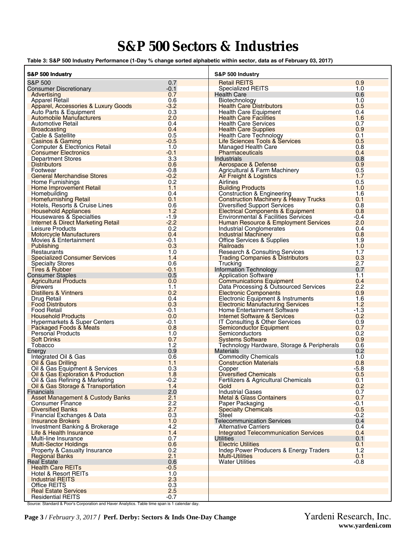## **S&P 500 Sectors & Industries**

**Table 3: S&P 500 Industry Performance (1-Day % change sorted alphabetic within sector, data as of February 03, 2017)**

| S&P 500 Industry                                                     |               | S&P 500 Industry                                                                    |            |
|----------------------------------------------------------------------|---------------|-------------------------------------------------------------------------------------|------------|
| S&P 500                                                              | 0.7           | <b>Retail REITS</b>                                                                 | 0.9        |
| <b>Consumer Discretionary</b>                                        | $-0.1$        | <b>Specialized REITS</b>                                                            | 1.0        |
| Advertising                                                          | 0.7           | <b>Health Care</b>                                                                  | 0.6        |
| <b>Apparel Retail</b>                                                | 0.6           | Biotechnology                                                                       | 1.0        |
| Apparel, Accessories & Luxury Goods                                  | $-3.2$        | <b>Health Care Distributors</b>                                                     | 0.5        |
| Auto Parts & Equipment                                               | 0.3           | <b>Health Care Equipment</b>                                                        | 0.4        |
| <b>Automobile Manufacturers</b>                                      | 2.0           | <b>Health Care Facilities</b>                                                       | 1.6        |
| <b>Automotive Retail</b>                                             | 0.4           | <b>Health Care Services</b>                                                         | 0.7        |
| <b>Broadcasting</b><br>Cable & Satellite                             | 0.4<br>0.5    | <b>Health Care Supplies</b><br><b>Health Care Technology</b>                        | 0.9<br>0.1 |
| <b>Casinos &amp; Gaming</b>                                          | $-0.5$        | Life Sciences Tools & Services                                                      | 0.5        |
| <b>Computer &amp; Electronics Retail</b>                             | 1.0           | Managed Health Care                                                                 | 0.8        |
| <b>Consumer Electronics</b>                                          | $-0.1$        | <b>Pharmaceuticals</b>                                                              | 0.4        |
| <b>Department Stores</b>                                             | 3.3           | Industrials                                                                         | 0.8        |
| <b>Distributors</b>                                                  | 0.6           | Aerospace & Defense                                                                 | 0.9        |
| Footwear                                                             | $-0.8$        | Agricultural & Farm Machinery                                                       | 0.5        |
| <b>General Merchandise Stores</b>                                    | $-0.2$        | Air Freight & Logistics                                                             | 1.7        |
| Home Furnishings                                                     | 0.2           | Airlines                                                                            | 0.5        |
| Home Improvement Retail                                              | 1.1           | <b>Building Products</b>                                                            | 1.0        |
| Homebuilding                                                         | 0.4           | <b>Construction &amp; Engineering</b>                                               | 1.6        |
| <b>Homefurnishing Retail</b><br>Hotels. Resorts & Cruise Lines       | 0.1<br>0.6    | <b>Construction Machinery &amp; Heavy Trucks</b>                                    | 0.1<br>0.8 |
| <b>Household Appliances</b>                                          | 1.2           | <b>Diversified Support Services</b><br><b>Electrical Components &amp; Equipment</b> | 0.8        |
| Housewares & Specialties                                             | $-1.9$        | Environmental & Facilities Services                                                 | $-0.4$     |
| <b>Internet &amp; Direct Marketing Retail</b>                        | $-2.2$        | Human Resource & Employment Services                                                | 2.0        |
| Leisure Products                                                     | 0.2           | <b>Industrial Conglomerates</b>                                                     | 0.4        |
| <b>Motorcycle Manufacturers</b>                                      | 0.4           | <b>Industrial Machinery</b>                                                         | 0.8        |
| Movies & Entertainment                                               | -0.1          | <b>Office Services &amp; Supplies</b>                                               | 1.9        |
| Publishing                                                           | 0.3           | Railroads                                                                           | 1.0        |
| Restaurants                                                          | 1.0           | <b>Research &amp; Consulting Services</b>                                           | 1.7        |
| <b>Specialized Consumer Services</b>                                 | 1.4           | <b>Trading Companies &amp; Distributors</b>                                         | 0.3        |
| <b>Specialty Stores</b>                                              | 0.6           | Trucking                                                                            | 2.7<br>0.7 |
| Tires & Rubber<br><b>Consumer Staples</b>                            | $-0.1$<br>0.5 | Information Technology<br><b>Application Software</b>                               | 1.1        |
| <b>Agricultural Products</b>                                         | 0.0           | <b>Communications Equipment</b>                                                     | 0.4        |
| <b>Brewers</b>                                                       | 1.1           | Data Processing & Outsourced Services                                               | 2.2        |
| <b>Distillers &amp; Vintners</b>                                     | 0.2           | <b>Electronic Components</b>                                                        | 0.9        |
| Drug Retail                                                          | 0.4           | Electronic Equipment & Instruments                                                  | 1.6        |
| <b>Food Distributors</b>                                             | 0.3           | <b>Electronic Manufacturing Services</b>                                            | 1.2        |
| Food Retail                                                          | $-0.1$        | Home Entertainment Software                                                         | $-1.3$     |
| <b>Household Products</b>                                            | 0.0           | Internet Software & Services                                                        | 0.2        |
| <b>Hypermarkets &amp; Super Centers</b>                              | $-0.1$<br>0.8 | <b>IT Consulting &amp; Other Services</b>                                           | 0.9<br>0.7 |
| Packaged Foods & Meats<br><b>Personal Products</b>                   | 1.0           | <b>Semiconductor Equipment</b><br>Semiconductors                                    | 0.2        |
| <b>Soft Drinks</b>                                                   | 0.7           | <b>Systems Software</b>                                                             | 0.9        |
| Tobacco                                                              | 1.2           | Technology Hardware, Storage & Peripherals                                          | 0.6        |
| Energy                                                               | 0.9           | <b>Materials</b>                                                                    | 0.2        |
| Integrated Oil & Gas                                                 | 0.6           | <b>Commodity Chemicals</b>                                                          | 1.0        |
| Oil & Gas Drilling                                                   | 1.1           | <b>Construction Materials</b>                                                       | 0.8        |
| Oil & Gas Equipment & Services                                       | 0.3           | Copper                                                                              | $-5.8$     |
| Oil & Gas Exploration & Production                                   | 1.8           | <b>Diversified Chemicals</b>                                                        | 0.5        |
| Oil & Gas Refining & Marketing<br>Oil & Gas Storage & Transportation | $-0.2$<br>1.4 | Fertilizers & Agricultural Chemicals<br>Gold                                        | 0.1<br>0.2 |
| <b>Financials</b>                                                    | 2.0           | <b>Industrial Gases</b>                                                             | 0.7        |
| <b>Asset Management &amp; Custody Banks</b>                          | 2.1           | <b>Metal &amp; Glass Containers</b>                                                 | 0.7        |
| <b>Consumer Finance</b>                                              | 2.2           | Paper Packaging                                                                     | $-0.1$     |
| <b>Diversified Banks</b>                                             | 2.7           | <b>Specialty Chemicals</b>                                                          | 0.5        |
| Financial Exchanges & Data                                           | 0.3           | Steel                                                                               | $-0.2$     |
| <b>Insurance Brokers</b>                                             | 1.0           | <b>Telecommunication Services</b>                                                   | 0.4        |
| Investment Banking & Brokerage                                       | 4.2           | <b>Alternative Carriers</b>                                                         | 0.4        |
| Life & Health Insurance                                              | 1.4           | <b>Integrated Telecommunication Services</b>                                        | 0.4        |
| Multi-line Insurance                                                 | 0.7<br>0.6    | <b>Utilities</b><br><b>Electric Utilities</b>                                       | 0.1<br>0.1 |
| <b>Multi-Sector Holdings</b>                                         | 0.2           | Indep Power Producers & Energy Traders                                              | 1.2        |
| Property & Casualty Insurance<br><b>Regional Banks</b>               | 2.1           | <b>Multi-Utilities</b>                                                              | 0.1        |
| <b>Real Estate</b>                                                   | 0.6           | <b>Water Utilities</b>                                                              | $-0.8$     |
| <b>Health Care REITs</b>                                             | $-0.5$        |                                                                                     |            |
| Hotel & Resort REITs                                                 | 1.0           |                                                                                     |            |
| <b>Industrial REITS</b>                                              | 2.3           |                                                                                     |            |
| Office REITS                                                         | 0.3           |                                                                                     |            |
| <b>Real Estate Services</b>                                          | 2.5           |                                                                                     |            |
| <b>Residential REITS</b>                                             | $-0.7$        |                                                                                     |            |

Source: Standard & Poor's Corporation and Haver Analytics. Table time span is 1 calendar day.